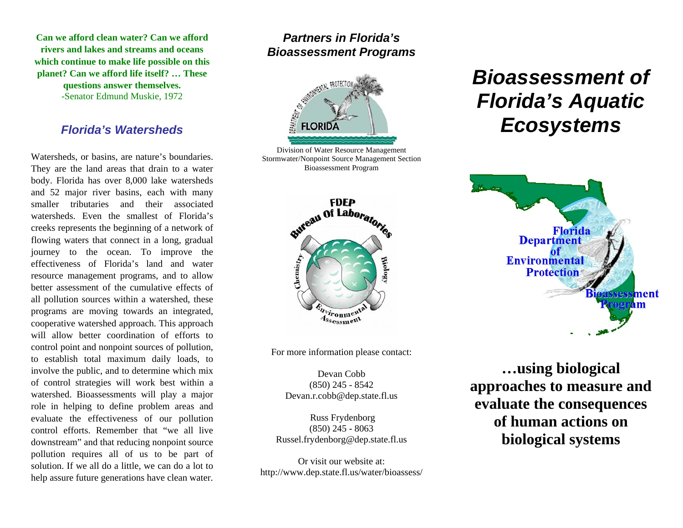**Can we afford clean water? Can we afford rivers and lakes and streams and oceans which continue to make life possible on this planet? Can we afford life itself? … These questions answer themselves.** -Senator Edmund Muskie, 1972

#### *Florida's Watersheds*

Watersheds, or basins, are nature's boundaries. They are the land areas that drain to a water body. Florida has over 8,000 lake watersheds and 52 major river basins, each with many smaller tributaries and their associated watersheds. Even the smallest of Florida'screeks represents the beginning of a network of flowing waters that connect in a long, gradual journey to the ocean. To improve the effectiveness of Florida's land and waterresource management programs, and to allow better assessment of the cumulative effects ofall pollution sources within a watershed, these programs are moving towards an integrated, cooperative watershed approach. This approach will allow better coordination of efforts to control point and nonpoint sources of pollution, to establish total maximum daily loads, to involve the public, and to determine which mix of control strategies will work best within a watershed. Bioassessments will play a major role in helping to define problem areas and evaluate the effectiveness of our pollution control efforts. Remember that "we all live downstream" and that reducing nonpoint source pollution requires all of us to be part of solution. If we all do a little, we can do a lot to help assure future generations have clean water.

# *Partners in Florida's Bioassessment Programs*



Division of Water Resource Management Stormwater/Nonpoint Source Management Section Bioassessment Program



For more information please contact:

Devan Cobb (850) 245 - 8542 [Devan.r.cobb@dep.state.fl.us](mailto:Devan.r.cobb@dep.state.fl.us)

 Russ Frydenborg (850) 245 - 8063 [Russel.frydenborg@dep.state.fl.us](mailto:Russel.frydenborg@dep.state.fl.us)

Or visit our website at: http://www.dep.state.fl.us/water/bioassess/

# *Bioassessment of Florida's Aquatic Ecosystems*



**…using biological approaches to measure and evaluate the consequences of human actions on biological systems**